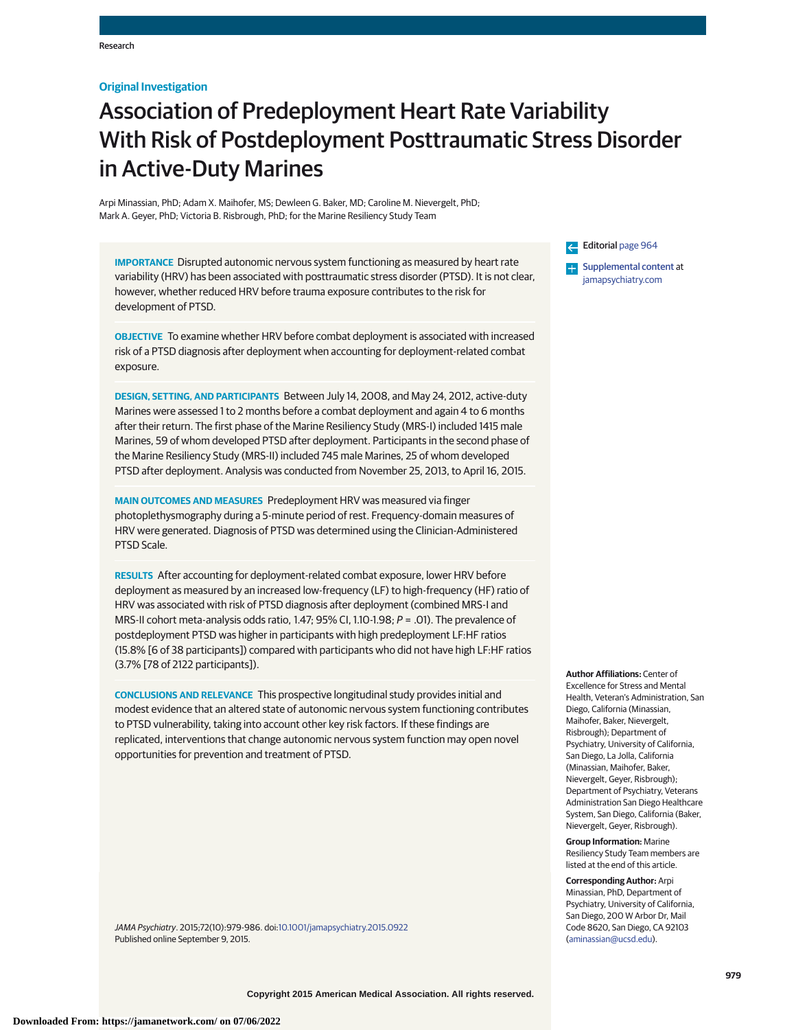## **Original Investigation**

# Association of Predeployment Heart Rate Variability With Risk of Postdeployment Posttraumatic Stress Disorder in Active-Duty Marines

Arpi Minassian, PhD; Adam X. Maihofer, MS; Dewleen G. Baker, MD; Caroline M. Nievergelt, PhD; Mark A. Geyer, PhD; Victoria B. Risbrough, PhD; for the Marine Resiliency Study Team

**IMPORTANCE** Disrupted autonomic nervous system functioning as measured by heart rate variability (HRV) has been associated with posttraumatic stress disorder (PTSD). It is not clear, however, whether reduced HRV before trauma exposure contributes to the risk for development of PTSD.

**OBJECTIVE** To examine whether HRV before combat deployment is associated with increased risk of a PTSD diagnosis after deployment when accounting for deployment-related combat exposure.

**DESIGN, SETTING, AND PARTICIPANTS** Between July 14, 2008, and May 24, 2012, active-duty Marines were assessed 1 to 2 months before a combat deployment and again 4 to 6 months after their return. The first phase of the Marine Resiliency Study (MRS-I) included 1415 male Marines, 59 of whom developed PTSD after deployment. Participants in the second phase of the Marine Resiliency Study (MRS-II) included 745 male Marines, 25 of whom developed PTSD after deployment. Analysis was conducted from November 25, 2013, to April 16, 2015.

**MAIN OUTCOMES AND MEASURES** Predeployment HRV was measured via finger photoplethysmography during a 5-minute period of rest. Frequency-domain measures of HRV were generated. Diagnosis of PTSD was determined using the Clinician-Administered PTSD Scale.

**RESULTS** After accounting for deployment-related combat exposure, lower HRV before deployment as measured by an increased low-frequency (LF) to high-frequency (HF) ratio of HRV was associated with risk of PTSD diagnosis after deployment (combined MRS-I and MRS-II cohort meta-analysis odds ratio, 1.47; 95% CI, 1.10-1.98; P = .01). The prevalence of postdeployment PTSD was higher in participants with high predeployment LF:HF ratios (15.8% [6 of 38 participants]) compared with participants who did not have high LF:HF ratios (3.7% [78 of 2122 participants]).

**CONCLUSIONS AND RELEVANCE** This prospective longitudinal study provides initial and modest evidence that an altered state of autonomic nervous system functioning contributes to PTSD vulnerability, taking into account other key risk factors. If these findings are replicated, interventions that change autonomic nervous system function may open novel opportunities for prevention and treatment of PTSD.

JAMA Psychiatry. 2015;72(10):979-986. doi[:10.1001/jamapsychiatry.2015.0922](http://jama.jamanetwork.com/article.aspx?doi=10.1001/jamapsychiatry.2015.0922&utm_campaign=articlePDF%26utm_medium=articlePDFlink%26utm_source=articlePDF%26utm_content=jamapsychiatry.2015.0922) Published online September 9, 2015.

Editorial [page 964](http://jama.jamanetwork.com/article.aspx?doi=10.1001/jamapsychiatry.2015.1394&utm_campaign=articlePDF%26utm_medium=articlePDFlink%26utm_source=articlePDF%26utm_content=jamapsychiatry.2015.0922)

**Examplemental content at** [jamapsychiatry.com](http://www.jamapsychiatry.com/?utm_campaign=articlePDF%26utm_medium=articlePDFlink%26utm_source=articlePDF%26utm_content=jamapsychiatry.2015.0922)

**Author Affiliations:** Center of Excellence for Stress and Mental Health, Veteran's Administration, San Diego, California (Minassian, Maihofer, Baker, Nievergelt, Risbrough); Department of Psychiatry, University of California, San Diego, La Jolla, California (Minassian, Maihofer, Baker, Nievergelt, Geyer, Risbrough); Department of Psychiatry, Veterans Administration San Diego Healthcare System, San Diego, California (Baker, Nievergelt, Geyer, Risbrough).

**Group Information:** Marine Resiliency Study Team members are listed at the end of this article.

**Corresponding Author:** Arpi Minassian, PhD, Department of Psychiatry, University of California, San Diego, 200 W Arbor Dr, Mail Code 8620, San Diego, CA 92103 [\(aminassian@ucsd.edu\)](mailto:aminassian@ucsd.edu).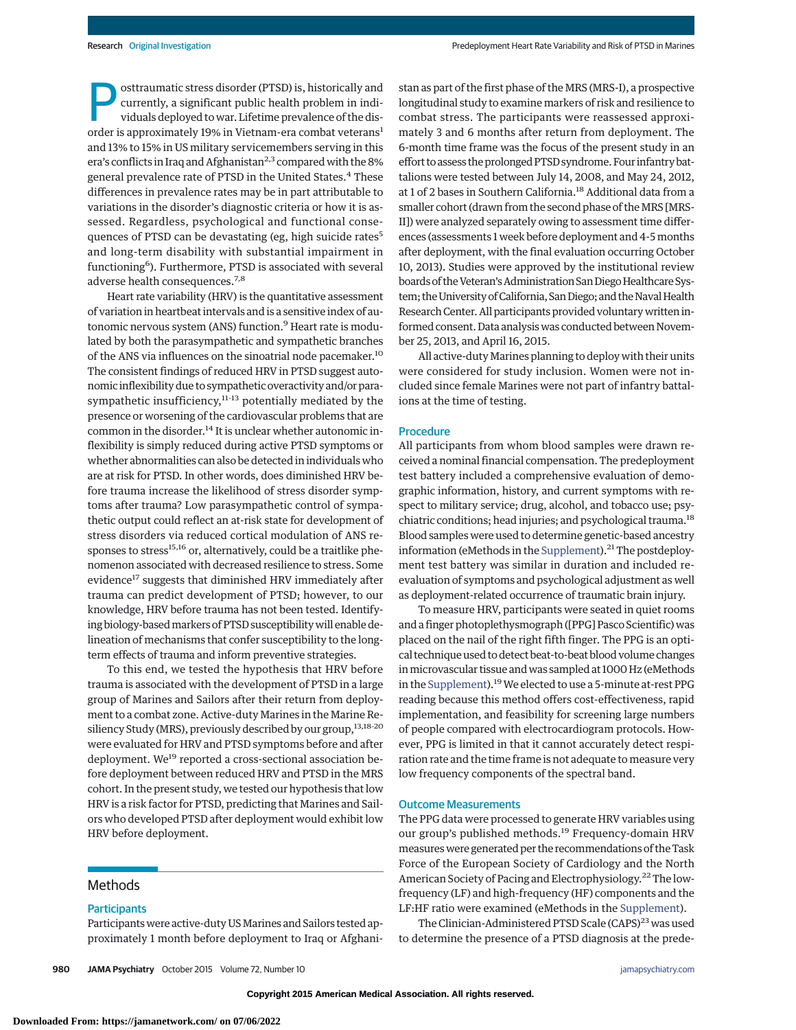osttraumatic stress disorder (PTSD) is, historically and currently, a significant public health problem in individuals deployed to war. Lifetime prevalence of the disorder is approximately 19% in Vietnam-era combat veterans<sup>1</sup> and 13% to 15% in US military servicemembers serving in this era's conflicts in Iraq and Afghanistan<sup>2,3</sup> compared with the 8% general prevalence rate of PTSD in the United States.<sup>4</sup> These differences in prevalence rates may be in part attributable to variations in the disorder's diagnostic criteria or how it is assessed. Regardless, psychological and functional consequences of PTSD can be devastating (eg, high suicide rates<sup>5</sup> and long-term disability with substantial impairment in functioning<sup>6</sup>). Furthermore, PTSD is associated with several adverse health consequences.7,8

Heart rate variability (HRV) is the quantitative assessment of variation in heartbeat intervals and is a sensitive index of autonomic nervous system (ANS) function.<sup>9</sup> Heart rate is modulated by both the parasympathetic and sympathetic branches of the ANS via influences on the sinoatrial node pacemaker.<sup>10</sup> The consistent findings of reduced HRV in PTSD suggest autonomic inflexibility due to sympathetic overactivity and/or parasympathetic insufficiency,<sup>11-13</sup> potentially mediated by the presence or worsening of the cardiovascular problems that are common in the disorder.<sup>14</sup> It is unclear whether autonomic inflexibility is simply reduced during active PTSD symptoms or whether abnormalities can also be detected in individuals who are at risk for PTSD. In other words, does diminished HRV before trauma increase the likelihood of stress disorder symptoms after trauma? Low parasympathetic control of sympathetic output could reflect an at-risk state for development of stress disorders via reduced cortical modulation of ANS responses to stress<sup>15,16</sup> or, alternatively, could be a traitlike phenomenon associated with decreased resilience to stress. Some evidence<sup>17</sup> suggests that diminished HRV immediately after trauma can predict development of PTSD; however, to our knowledge, HRV before trauma has not been tested. Identifying biology-basedmarkers of PTSD susceptibilitywill enable delineation of mechanisms that confer susceptibility to the longterm effects of trauma and inform preventive strategies.

To this end, we tested the hypothesis that HRV before trauma is associated with the development of PTSD in a large group of Marines and Sailors after their return from deployment to a combat zone. Active-duty Marines in the Marine Resiliency Study (MRS), previously described by our group,<sup>13,18-20</sup> were evaluated for HRV and PTSD symptoms before and after deployment. We<sup>19</sup> reported a cross-sectional association before deployment between reduced HRV and PTSD in the MRS cohort. In the present study, we tested our hypothesis that low HRV is a risk factor for PTSD, predicting that Marines and Sailors who developed PTSD after deployment would exhibit low HRV before deployment.

## Methods

## **Participants**

Participants were active-duty US Marines and Sailors tested approximately 1 month before deployment to Iraq or Afghanistan as part of the first phase of the MRS (MRS-I), a prospective longitudinal study to examine markers of risk and resilience to combat stress. The participants were reassessed approximately 3 and 6 months after return from deployment. The 6-month time frame was the focus of the present study in an effort to assess the prolonged PTSD syndrome.Four infantry battalions were tested between July 14, 2008, and May 24, 2012, at 1 of 2 bases in Southern California.18 Additional data from a smaller cohort (drawn from the second phase of the MRS [MRS-II]) were analyzed separately owing to assessment time differences (assessments 1 week before deployment and 4-5 months after deployment, with the final evaluation occurring October 10, 2013). Studies were approved by the institutional review boards of the Veteran's Administration San Diego Healthcare System; the University of California, San Diego; and the Naval Health Research Center. All participants provided voluntarywritten informed consent. Data analysis was conducted between November 25, 2013, and April 16, 2015.

All active-duty Marines planning to deploy with their units were considered for study inclusion. Women were not included since female Marines were not part of infantry battalions at the time of testing.

## **Procedure**

All participants from whom blood samples were drawn received a nominal financial compensation. The predeployment test battery included a comprehensive evaluation of demographic information, history, and current symptoms with respect to military service; drug, alcohol, and tobacco use; psychiatric conditions; head injuries; and psychological trauma.<sup>18</sup> Blood samples were used to determine genetic-based ancestry information (eMethods in the [Supplement\)](http://jama.jamanetwork.com/article.aspx?doi=10.1001/jamapsychiatry.2015.0922&utm_campaign=articlePDF%26utm_medium=articlePDFlink%26utm_source=articlePDF%26utm_content=jamapsychiatry.2015.0922).<sup>21</sup> The postdeployment test battery was similar in duration and included reevaluation of symptoms and psychological adjustment as well as deployment-related occurrence of traumatic brain injury.

To measure HRV, participants were seated in quiet rooms and a finger photoplethysmograph ([PPG] Pasco Scientific) was placed on the nail of the right fifth finger. The PPG is an optical technique used to detect beat-to-beat blood volume changes inmicrovascular tissue and was sampled at 1000 Hz (eMethods in the [Supplement\)](http://jama.jamanetwork.com/article.aspx?doi=10.1001/jamapsychiatry.2015.0922&utm_campaign=articlePDF%26utm_medium=articlePDFlink%26utm_source=articlePDF%26utm_content=jamapsychiatry.2015.0922).<sup>19</sup> We elected to use a 5-minute at-rest PPG reading because this method offers cost-effectiveness, rapid implementation, and feasibility for screening large numbers of people compared with electrocardiogram protocols. However, PPG is limited in that it cannot accurately detect respiration rate and the time frame is not adequate to measure very low frequency components of the spectral band.

### Outcome Measurements

The PPG data were processed to generate HRV variables using our group's published methods.<sup>19</sup> Frequency-domain HRV measureswere generated per the recommendations of the Task Force of the European Society of Cardiology and the North American Society of Pacing and Electrophysiology.<sup>22</sup> The lowfrequency (LF) and high-frequency (HF) components and the LF:HF ratio were examined (eMethods in the [Supplement\)](http://jama.jamanetwork.com/article.aspx?doi=10.1001/jamapsychiatry.2015.0922&utm_campaign=articlePDF%26utm_medium=articlePDFlink%26utm_source=articlePDF%26utm_content=jamapsychiatry.2015.0922).

The Clinician-Administered PTSD Scale (CAPS)<sup>23</sup> was used to determine the presence of a PTSD diagnosis at the prede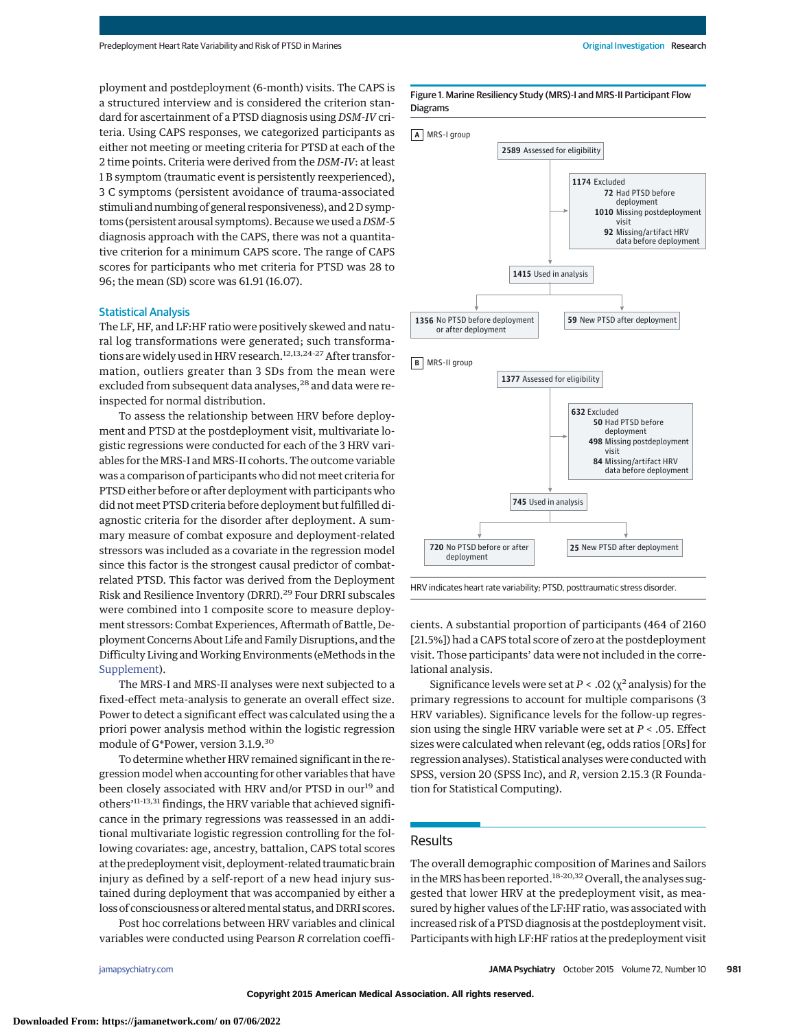ployment and postdeployment (6-month) visits. The CAPS is a structured interview and is considered the criterion standard for ascertainment of a PTSD diagnosis using *DSM-IV* criteria. Using CAPS responses, we categorized participants as either not meeting or meeting criteria for PTSD at each of the 2 time points. Criteria were derived from the *DSM-IV*: at least 1 B symptom (traumatic event is persistently reexperienced), 3 C symptoms (persistent avoidance of trauma-associated stimuli and numbing of general responsiveness), and 2 D symptoms (persistent arousal symptoms). Because we used a *DSM-5* diagnosis approach with the CAPS, there was not a quantitative criterion for a minimum CAPS score. The range of CAPS scores for participants who met criteria for PTSD was 28 to 96; the mean (SD) score was 61.91 (16.07).

## Statistical Analysis

The LF, HF, and LF:HF ratio were positively skewed and natural log transformations were generated; such transformations are widely used in HRV research.<sup>12,13,24-27</sup> After transformation, outliers greater than 3 SDs from the mean were excluded from subsequent data analyses,<sup>28</sup> and data were reinspected for normal distribution.

To assess the relationship between HRV before deployment and PTSD at the postdeployment visit, multivariate logistic regressions were conducted for each of the 3 HRV variables for the MRS-I and MRS-II cohorts. The outcome variable was a comparison of participants who did not meet criteria for PTSD either before or after deployment with participants who did not meet PTSD criteria before deployment but fulfilled diagnostic criteria for the disorder after deployment. A summary measure of combat exposure and deployment-related stressors was included as a covariate in the regression model since this factor is the strongest causal predictor of combatrelated PTSD. This factor was derived from the Deployment Risk and Resilience Inventory (DRRI).<sup>29</sup> Four DRRI subscales were combined into 1 composite score to measure deployment stressors: Combat Experiences, Aftermath of Battle, Deployment Concerns About Life and Family Disruptions, and the Difficulty Living andWorking Environments (eMethods in the [Supplement\)](http://jama.jamanetwork.com/article.aspx?doi=10.1001/jamapsychiatry.2015.0922&utm_campaign=articlePDF%26utm_medium=articlePDFlink%26utm_source=articlePDF%26utm_content=jamapsychiatry.2015.0922).

The MRS-I and MRS-II analyses were next subjected to a fixed-effect meta-analysis to generate an overall effect size. Power to detect a significant effect was calculated using the a priori power analysis method within the logistic regression module of G\*Power, version 3.1.9.30

To determine whether HRV remained significant in the regression model when accounting for other variables that have been closely associated with HRV and/or PTSD in our<sup>19</sup> and others'11-13,31 findings, the HRV variable that achieved significance in the primary regressions was reassessed in an additional multivariate logistic regression controlling for the following covariates: age, ancestry, battalion, CAPS total scores at the predeployment visit, deployment-related traumatic brain injury as defined by a self-report of a new head injury sustained during deployment that was accompanied by either a loss of consciousness or altered mental status, and DRRI scores.

Post hoc correlations between HRV variables and clinical variables were conducted using Pearson *R* correlation coeffiFigure 1. Marine Resiliency Study (MRS)-I and MRS-II Participant Flow Diagrams



HRV indicates heart rate variability; PTSD, posttraumatic stress disorder.

cients. A substantial proportion of participants (464 of 2160 [21.5%]) had a CAPS total score of zero at the postdeployment visit. Those participants' data were not included in the correlational analysis.

Significance levels were set at  $P < .02$  ( $\chi^2$  analysis) for the primary regressions to account for multiple comparisons (3 HRV variables). Significance levels for the follow-up regression using the single HRV variable were set at *P* < .05. Effect sizes were calculated when relevant (eg, odds ratios [ORs] for regression analyses). Statistical analyses were conducted with SPSS, version 20 (SPSS Inc), and *R*, version 2.15.3 (R Foundation for Statistical Computing).

# Results

The overall demographic composition of Marines and Sailors in the MRS has been reported.<sup>18-20,32</sup> Overall, the analyses suggested that lower HRV at the predeployment visit, as measured by higher values of the LF:HF ratio, was associated with increased risk of a PTSD diagnosis at the postdeployment visit. Participants with high LF:HF ratios at the predeployment visit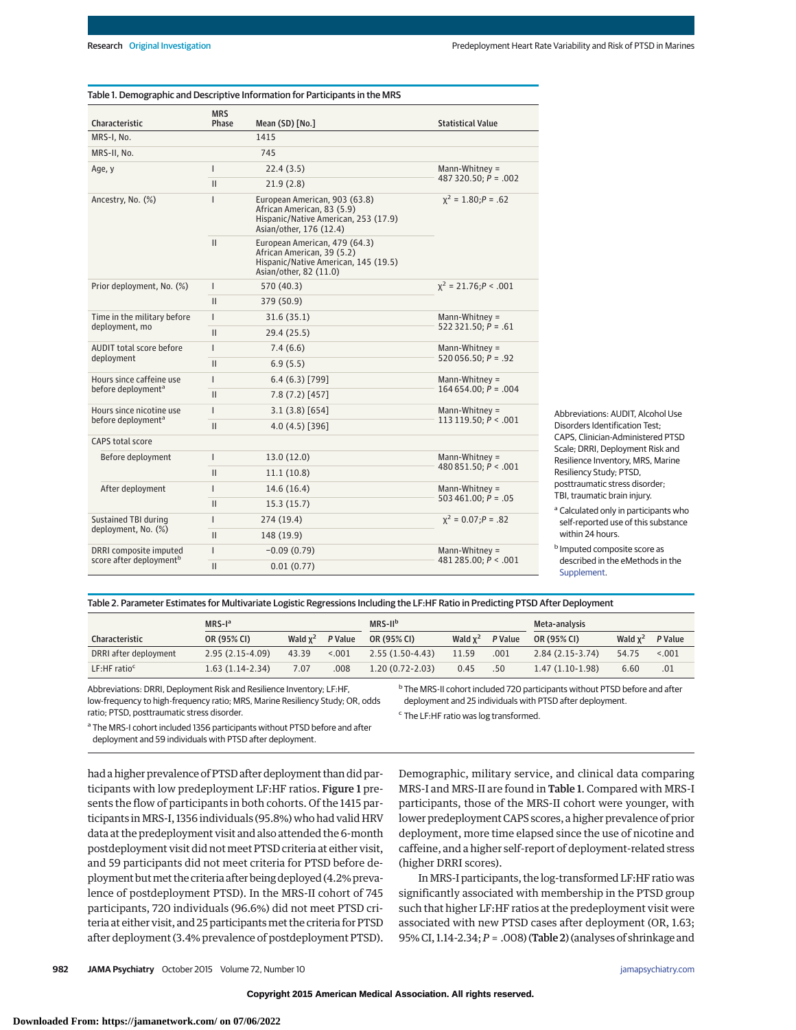| Characteristic                                                                                                 | <b>MRS</b><br>Phase | Mean (SD) [No.]                                                                                                                | <b>Statistical Value</b>                  |  |  |
|----------------------------------------------------------------------------------------------------------------|---------------------|--------------------------------------------------------------------------------------------------------------------------------|-------------------------------------------|--|--|
| MRS-I, No.                                                                                                     |                     | 1415                                                                                                                           |                                           |  |  |
| MRS-II, No.                                                                                                    |                     | 745                                                                                                                            |                                           |  |  |
| Age, y                                                                                                         | $\mathsf{I}$        | 22.4(3.5)                                                                                                                      | Mann-Whitney $=$                          |  |  |
|                                                                                                                | $\mathbf{II}$       | 21.9(2.8)                                                                                                                      | 487 320.50; $P = .002$                    |  |  |
| Ancestry, No. (%)                                                                                              | $\mathsf{I}$        | European American, 903 (63.8)<br>African American, 83 (5.9)<br>Hispanic/Native American, 253 (17.9)<br>Asian/other, 176 (12.4) | $x^2 = 1.80: P = .62$                     |  |  |
|                                                                                                                | $\mathbf{II}$       | European American, 479 (64.3)<br>African American, 39 (5.2)<br>Hispanic/Native American, 145 (19.5)<br>Asian/other, 82 (11.0)  |                                           |  |  |
| Prior deployment, No. (%)                                                                                      | $\mathsf{I}$        | 570 (40.3)                                                                                                                     | $x^2 = 21.76; P < .001$                   |  |  |
|                                                                                                                | $\mathbf{II}$       | 379 (50.9)                                                                                                                     |                                           |  |  |
| Time in the military before                                                                                    | $\overline{1}$      | 31.6(35.1)                                                                                                                     | Mann-Whitney $=$                          |  |  |
|                                                                                                                | $\mathbf{II}$       | 29.4(25.5)                                                                                                                     | $522321.50; P = .61$                      |  |  |
| AUDIT total score before<br>deployment                                                                         | $\mathsf{I}$        | 7.4(6.6)                                                                                                                       | Mann-Whitney $=$<br>$520056.50; P = .92$  |  |  |
|                                                                                                                | $\mathbf{II}$       | 6.9(5.5)                                                                                                                       |                                           |  |  |
| Hours since caffeine use                                                                                       | $\mathsf{I}$        | 6.4(6.3)[799]                                                                                                                  | Mann-Whitney $=$<br>$164654.00; P = .004$ |  |  |
|                                                                                                                | $\mathbf{II}$       | 7.8(7.2)[457]                                                                                                                  |                                           |  |  |
| deployment, mo<br>before deployment <sup>a</sup><br>Hours since nicotine use<br>before deployment <sup>a</sup> | $\overline{1}$      | 3.1(3.8)[654]                                                                                                                  | Mann-Whitney $=$                          |  |  |
|                                                                                                                | $\mathsf{II}$       | $4.0(4.5)$ [396]<br>13.0(12.0)<br>11.1(10.8)<br>14.6(16.4)                                                                     | 113 119.50; $P < .001$                    |  |  |
| CAPS total score                                                                                               |                     |                                                                                                                                |                                           |  |  |
| Before deployment                                                                                              | $\mathsf{I}$        |                                                                                                                                | Mann-Whitney $=$                          |  |  |
|                                                                                                                | $\mathbf{II}$       |                                                                                                                                | 480 851.50; $P < .001$                    |  |  |
| After deployment                                                                                               | $\overline{1}$      |                                                                                                                                | Mann-Whitney $=$<br>503 461.00; $P = .05$ |  |  |
|                                                                                                                | $\mathbf{II}$       | 15.3(15.7)                                                                                                                     |                                           |  |  |
| Sustained TBI during                                                                                           | $\overline{1}$      | 274 (19.4)                                                                                                                     | $x^2 = 0.07; P = .82$                     |  |  |
| deployment, No. (%)                                                                                            | $\mathbf{II}$       | 148 (19.9)                                                                                                                     |                                           |  |  |
| DRRI composite imputed                                                                                         | $\mathsf{I}$        | $-0.09(0.79)$                                                                                                                  | Mann-Whitney $=$                          |  |  |
| score after deployment <sup>b</sup>                                                                            | $\mathbf{II}$       | 0.01(0.77)                                                                                                                     | 481 285.00; $P < .001$                    |  |  |

Abbreviations: AUDIT, Alcohol Use Disorders Identification Test; CAPS, Clinician-Administered PTSD Scale; DRRI, Deployment Risk and Resilience Inventory, MRS, Marine Resiliency Study; PTSD, posttraumatic stress disorder; TBI, traumatic brain injury.

<sup>a</sup> Calculated only in participants who self-reported use of this substance within 24 hours.

<sup>b</sup> Imputed composite score as described in the eMethods in the [Supplement.](http://jama.jamanetwork.com/article.aspx?doi=10.1001/jamapsychiatry.2015.0922&utm_campaign=articlePDF%26utm_medium=articlePDFlink%26utm_source=articlePDF%26utm_content=jamapsychiatry.2015.0922)

#### Table 2. Parameter Estimates for Multivariate Logistic Regressions Including the LF:HF Ratio in Predicting PTSD After Deployment

|                            | $MRS-Ia$          |            |         | $MRS-IIb$           |            |         | Meta-analysis     |            |         |
|----------------------------|-------------------|------------|---------|---------------------|------------|---------|-------------------|------------|---------|
| <b>Characteristic</b>      | OR (95% CI)       | Wald $x^2$ | P Value | OR (95% CI)         | Wald $x^2$ | P Value | OR (95% CI)       | Wald $x^2$ | P Value |
| DRRI after deployment      | $2.95(2.15-4.09)$ | 43.39      | < 0.001 | $2.55(1.50-4.43)$   | 11.59      | .001    | $2.84(2.15-3.74)$ | 54.75      | < 0.001 |
| $LF:HF$ ratio <sup>c</sup> | $1.63(1.14-2.34)$ | 7.07       | .008    | $1.20(0.72 - 2.03)$ | 0.45       | .50     | $1.47(1.10-1.98)$ | 6.60       | .01     |

Abbreviations: DRRI, Deployment Risk and Resilience Inventory; LF:HF, low-frequency to high-frequency ratio; MRS, Marine Resiliency Study; OR, odds ratio; PTSD, posttraumatic stress disorder.

<sup>a</sup> The MRS-I cohort included 1356 participants without PTSD before and after deployment and 59 individuals with PTSD after deployment.

had a higher prevalence of PTSD after deployment than did participants with low predeployment LF:HF ratios. Figure 1 presents the flow of participants in both cohorts. Of the 1415 participants inMRS-I, 1356 individuals (95.8%) who had valid HRV data at the predeployment visit and also attended the 6-month postdeployment visit did not meet PTSD criteria at either visit, and 59 participants did not meet criteria for PTSD before deployment but met the criteria after being deployed (4.2% prevalence of postdeployment PTSD). In the MRS-II cohort of 745 participants, 720 individuals (96.6%) did not meet PTSD criteria at either visit, and 25 participants met the criteria for PTSD after deployment (3.4% prevalence of postdeployment PTSD). <sup>b</sup> The MRS-II cohort included 720 participants without PTSD before and after deployment and 25 individuals with PTSD after deployment.

<sup>c</sup> The LF:HF ratio was log transformed.

Demographic, military service, and clinical data comparing MRS-I and MRS-II are found in Table 1. Compared with MRS-I participants, those of the MRS-II cohort were younger, with lower predeployment CAPS scores, a higher prevalence of prior deployment, more time elapsed since the use of nicotine and caffeine, and a higher self-report of deployment-related stress (higher DRRI scores).

InMRS-I participants, the log-transformed LF:HF ratio was significantly associated with membership in the PTSD group such that higher LF:HF ratios at the predeployment visit were associated with new PTSD cases after deployment (OR, 1.63; 95% CI, 1.14-2.34;*P* = .008) (Table 2) (analyses of shrinkage and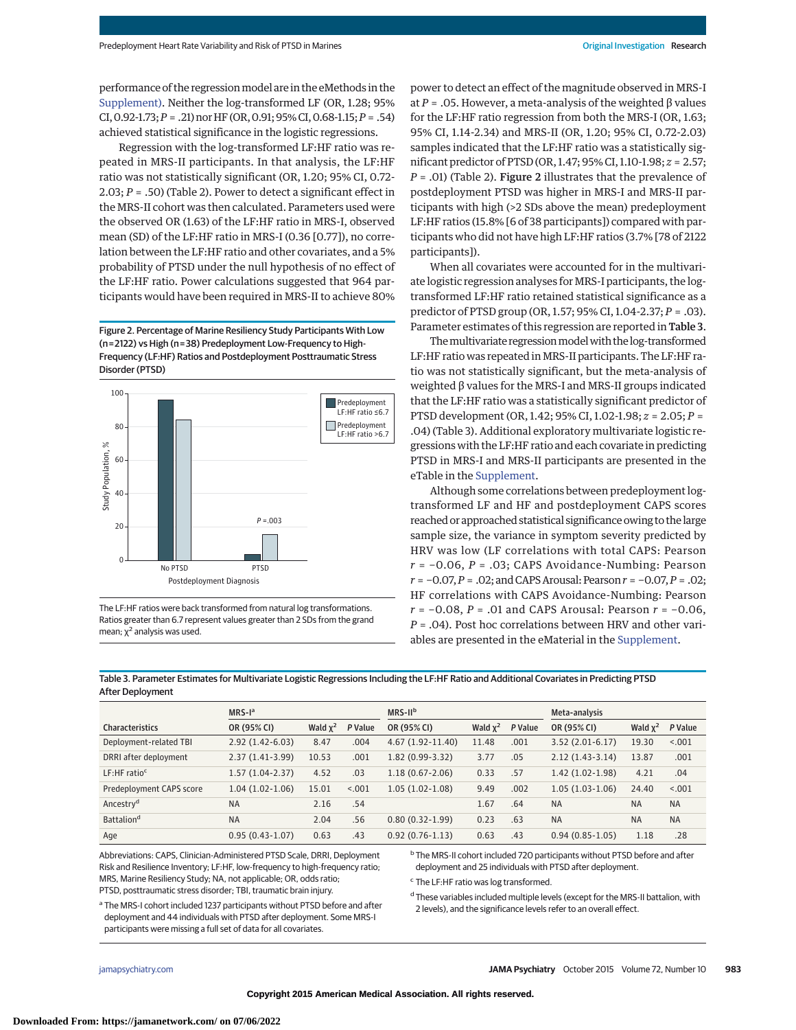performance of the regression model are in the eMethods in the [Supplement\).](http://jama.jamanetwork.com/article.aspx?doi=10.1001/jamapsychiatry.2015.0922&utm_campaign=articlePDF%26utm_medium=articlePDFlink%26utm_source=articlePDF%26utm_content=jamapsychiatry.2015.0922) Neither the log-transformed LF (OR, 1.28; 95% CI,0.92-1.73;*P* = .21) norHF (OR,0.91; 95%CI,0.68-1.15;*P* = .54) achieved statistical significance in the logistic regressions.

Regression with the log-transformed LF:HF ratio was repeated in MRS-II participants. In that analysis, the LF:HF ratio was not statistically significant (OR, 1.20; 95% CI, 0.72- 2.03; *P* = .50) (Table 2). Power to detect a significant effect in the MRS-II cohort was then calculated. Parameters used were the observed OR (1.63) of the LF:HF ratio in MRS-I, observed mean (SD) of the LF:HF ratio in MRS-I (0.36 [0.77]), no correlation between the LF:HF ratio and other covariates, and a 5% probability of PTSD under the null hypothesis of no effect of the LF:HF ratio. Power calculations suggested that 964 participants would have been required in MRS-II to achieve 80%

Figure 2. Percentage of Marine Resiliency Study Participants With Low (n=2122) vs High (n=38) Predeployment Low-Frequency to High-Frequency (LF:HF) Ratios and Postdeployment Posttraumatic Stress Disorder (PTSD)



The LF:HF ratios were back transformed from natural log transformations. Ratios greater than 6.7 represent values greater than 2 SDs from the grand mean;  $\chi^2$  analysis was used.

power to detect an effect of the magnitude observed in MRS-I at *P* = .05. However, a meta-analysis of the weighted β values for the LF:HF ratio regression from both the MRS-I (OR, 1.63; 95% CI, 1.14-2.34) and MRS-II (OR, 1.20; 95% CI, 0.72-2.03) samples indicated that the LF:HF ratio was a statistically significant predictor of PTSD (OR, 1.47; 95% CI, 1.10-1.98; *z* = 2.57; *P* = .01) (Table 2). Figure 2 illustrates that the prevalence of postdeployment PTSD was higher in MRS-I and MRS-II participants with high (>2 SDs above the mean) predeployment LF:HF ratios (15.8% [6 of 38 participants]) compared with participants who did not have high LF:HF ratios (3.7% [78 of 2122 participants]).

When all covariates were accounted for in the multivariate logistic regression analyses for MRS-I participants, the logtransformed LF:HF ratio retained statistical significance as a predictor of PTSD group (OR, 1.57; 95% CI, 1.04-2.37; *P* = .03). Parameter estimates of this regression are reported in Table 3.

The multivariate regression model with the log-transformed LF:HF ratio was repeated in MRS-II participants. The LF:HF ratio was not statistically significant, but the meta-analysis of weighted β values for the MRS-I and MRS-II groups indicated that the LF:HF ratio was a statistically significant predictor of PTSD development (OR, 1.42; 95% CI, 1.02-1.98; *z* = 2.05; *P* = .04) (Table 3). Additional exploratory multivariate logistic regressions with the LF:HF ratio and each covariate in predicting PTSD in MRS-I and MRS-II participants are presented in the eTable in the [Supplement.](http://jama.jamanetwork.com/article.aspx?doi=10.1001/jamapsychiatry.2015.0922&utm_campaign=articlePDF%26utm_medium=articlePDFlink%26utm_source=articlePDF%26utm_content=jamapsychiatry.2015.0922)

Although some correlations between predeployment logtransformed LF and HF and postdeployment CAPS scores reached or approached statistical significance owing to the large sample size, the variance in symptom severity predicted by HRV was low (LF correlations with total CAPS: Pearson *r* = −0.06, *P* = .03; CAPS Avoidance-Numbing: Pearson *r* = −0.07,*P* = .02; and CAPS Arousal: Pearson*r* = −0.07,*P* = .02; HF correlations with CAPS Avoidance-Numbing: Pearson *r* = −0.08, *P* = .01 and CAPS Arousal: Pearson *r* = −0.06, *P* = .04). Post hoc correlations between HRV and other variables are presented in the eMaterial in the [Supplement.](http://jama.jamanetwork.com/article.aspx?doi=10.1001/jamapsychiatry.2015.0922&utm_campaign=articlePDF%26utm_medium=articlePDFlink%26utm_source=articlePDF%26utm_content=jamapsychiatry.2015.0922)

Table 3. Parameter Estimates for Multivariate Logistic Regressions Including the LF:HF Ratio and Additional Covariates in Predicting PTSD After Deployment

|                            | $MRS-Ia$          |            |         | $MRS-IIb$            |            |         | Meta-analysis     |            |           |
|----------------------------|-------------------|------------|---------|----------------------|------------|---------|-------------------|------------|-----------|
| <b>Characteristics</b>     | OR (95% CI)       | Wald $x^2$ | P Value | OR (95% CI)          | Wald $x^2$ | P Value | OR (95% CI)       | Wald $x^2$ | P Value   |
| Deployment-related TBI     | $2.92(1.42-6.03)$ | 8.47       | .004    | $4.67(1.92 - 11.40)$ | 11.48      | .001    | $3.52(2.01-6.17)$ | 19.30      | < 0.001   |
| DRRI after deployment      | $2.37(1.41-3.99)$ | 10.53      | .001    | $1.82(0.99-3.32)$    | 3.77       | .05     | $2.12(1.43-3.14)$ | 13.87      | .001      |
| $LF:HF$ ratio <sup>c</sup> | $1.57(1.04-2.37)$ | 4.52       | .03     | $1.18(0.67 - 2.06)$  | 0.33       | .57     | $1.42(1.02-1.98)$ | 4.21       | .04       |
| Predeployment CAPS score   | $1.04(1.02-1.06)$ | 15.01      | < 0.01  | $1.05(1.02-1.08)$    | 9.49       | .002    | $1.05(1.03-1.06)$ | 24.40      | < 0.001   |
| Ancestry <sup>d</sup>      | <b>NA</b>         | 2.16       | .54     |                      | 1.67       | .64     | <b>NA</b>         | <b>NA</b>  | <b>NA</b> |
| Battalion <sup>d</sup>     | <b>NA</b>         | 2.04       | .56     | $0.80(0.32-1.99)$    | 0.23       | .63     | <b>NA</b>         | <b>NA</b>  | <b>NA</b> |
| Age                        | $0.95(0.43-1.07)$ | 0.63       | .43     | $0.92(0.76-1.13)$    | 0.63       | .43     | $0.94(0.85-1.05)$ | 1.18       | .28       |

Abbreviations: CAPS, Clinician-Administered PTSD Scale, DRRI, Deployment Risk and Resilience Inventory; LF:HF, low-frequency to high-frequency ratio; MRS, Marine Resiliency Study; NA, not applicable; OR, odds ratio; PTSD, posttraumatic stress disorder; TBI, traumatic brain injury.

<sup>b</sup> The MRS-II cohort included 720 participants without PTSD before and after deployment and 25 individuals with PTSD after deployment.

<sup>c</sup> The LF:HF ratio was log transformed.

<sup>d</sup> These variables included multiple levels (except for the MRS-II battalion, with 2 levels), and the significance levels refer to an overall effect.

<sup>a</sup> The MRS-I cohort included 1237 participants without PTSD before and after deployment and 44 individuals with PTSD after deployment. Some MRS-I participants were missing a full set of data for all covariates.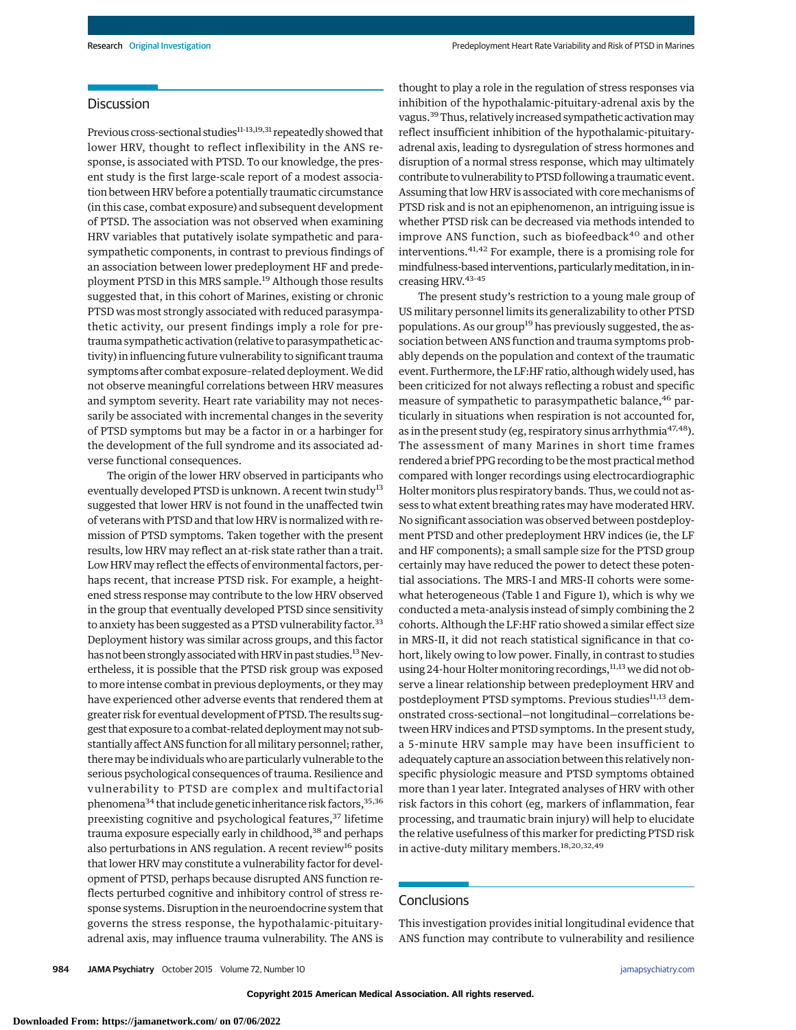# Discussion

Previous cross-sectional studies<sup>11-13,19,31</sup> repeatedly showed that lower HRV, thought to reflect inflexibility in the ANS response, is associated with PTSD. To our knowledge, the present study is the first large-scale report of a modest association between HRV before a potentially traumatic circumstance (in this case, combat exposure) and subsequent development of PTSD. The association was not observed when examining HRV variables that putatively isolate sympathetic and parasympathetic components, in contrast to previous findings of an association between lower predeployment HF and predeployment PTSD in this MRS sample.<sup>19</sup> Although those results suggested that, in this cohort of Marines, existing or chronic PTSD was most strongly associated with reduced parasympathetic activity, our present findings imply a role for pretrauma sympathetic activation (relative to parasympathetic activity) in influencing future vulnerability to significant trauma symptoms after combat exposure-related deployment. We did not observe meaningful correlations between HRV measures and symptom severity. Heart rate variability may not necessarily be associated with incremental changes in the severity of PTSD symptoms but may be a factor in or a harbinger for the development of the full syndrome and its associated adverse functional consequences.

The origin of the lower HRV observed in participants who eventually developed PTSD is unknown. A recent twin study<sup>13</sup> suggested that lower HRV is not found in the unaffected twin of veterans with PTSD and that low HRV is normalized with remission of PTSD symptoms. Taken together with the present results, low HRV may reflect an at-risk state rather than a trait. Low HRV may reflect the effects of environmental factors, perhaps recent, that increase PTSD risk. For example, a heightened stress response may contribute to the low HRV observed in the group that eventually developed PTSD since sensitivity to anxiety has been suggested as a PTSD vulnerability factor.<sup>33</sup> Deployment history was similar across groups, and this factor has not been strongly associated with HRV in past studies.<sup>13</sup> Nevertheless, it is possible that the PTSD risk group was exposed to more intense combat in previous deployments, or they may have experienced other adverse events that rendered them at greater risk for eventual development of PTSD. The results suggest that exposure to a combat-related deployment may not substantially affect ANS function for all military personnel; rather, theremay be individuals who are particularly vulnerable to the serious psychological consequences of trauma. Resilience and vulnerability to PTSD are complex and multifactorial phenomena $34$  that include genetic inheritance risk factors,  $35,36$ preexisting cognitive and psychological features,<sup>37</sup> lifetime trauma exposure especially early in childhood,<sup>38</sup> and perhaps also perturbations in ANS regulation. A recent review<sup>16</sup> posits that lower HRV may constitute a vulnerability factor for development of PTSD, perhaps because disrupted ANS function reflects perturbed cognitive and inhibitory control of stress response systems. Disruption in the neuroendocrine system that governs the stress response, the hypothalamic-pituitaryadrenal axis, may influence trauma vulnerability. The ANS is thought to play a role in the regulation of stress responses via inhibition of the hypothalamic-pituitary-adrenal axis by the vagus.<sup>39</sup> Thus, relatively increased sympathetic activation may reflect insufficient inhibition of the hypothalamic-pituitaryadrenal axis, leading to dysregulation of stress hormones and disruption of a normal stress response, which may ultimately contribute to vulnerability to PTSD following a traumatic event. Assuming that low HRV is associated with core mechanisms of PTSD risk and is not an epiphenomenon, an intriguing issue is whether PTSD risk can be decreased via methods intended to improve ANS function, such as biofeedback $40$  and other interventions.41,42 For example, there is a promising role for mindfulness-based interventions, particularlymeditation, in increasing HRV.43-45

The present study's restriction to a young male group of US military personnel limits its generalizability to other PTSD populations. As our group<sup>19</sup> has previously suggested, the association between ANS function and trauma symptoms probably depends on the population and context of the traumatic event. Furthermore, the LF:HF ratio, although widely used, has been criticized for not always reflecting a robust and specific measure of sympathetic to parasympathetic balance,<sup>46</sup> particularly in situations when respiration is not accounted for, as in the present study (eg, respiratory sinus arrhythmia<sup>47,48</sup>). The assessment of many Marines in short time frames rendered a brief PPG recording to be themost practicalmethod compared with longer recordings using electrocardiographic Holter monitors plus respiratory bands. Thus, we could not assess to what extent breathing rates may have moderated HRV. No significant association was observed between postdeployment PTSD and other predeployment HRV indices (ie, the LF and HF components); a small sample size for the PTSD group certainly may have reduced the power to detect these potential associations. The MRS-I and MRS-II cohorts were somewhat heterogeneous (Table 1 and Figure 1), which is why we conducted a meta-analysis instead of simply combining the 2 cohorts. Although the LF:HF ratio showed a similar effect size in MRS-II, it did not reach statistical significance in that cohort, likely owing to low power. Finally, in contrast to studies using 24-hour Holter monitoring recordings, 11,13 we did not observe a linear relationship between predeployment HRV and postdeployment PTSD symptoms. Previous studies<sup>11,13</sup> demonstrated cross-sectional—not longitudinal—correlations between HRV indices and PTSD symptoms. In the present study, a 5-minute HRV sample may have been insufficient to adequately capture an association between this relatively nonspecific physiologic measure and PTSD symptoms obtained more than 1 year later. Integrated analyses of HRV with other risk factors in this cohort (eg, markers of inflammation, fear processing, and traumatic brain injury) will help to elucidate the relative usefulness of this marker for predicting PTSD risk in active-duty military members.18,20,32,49

## **Conclusions**

This investigation provides initial longitudinal evidence that ANS function may contribute to vulnerability and resilience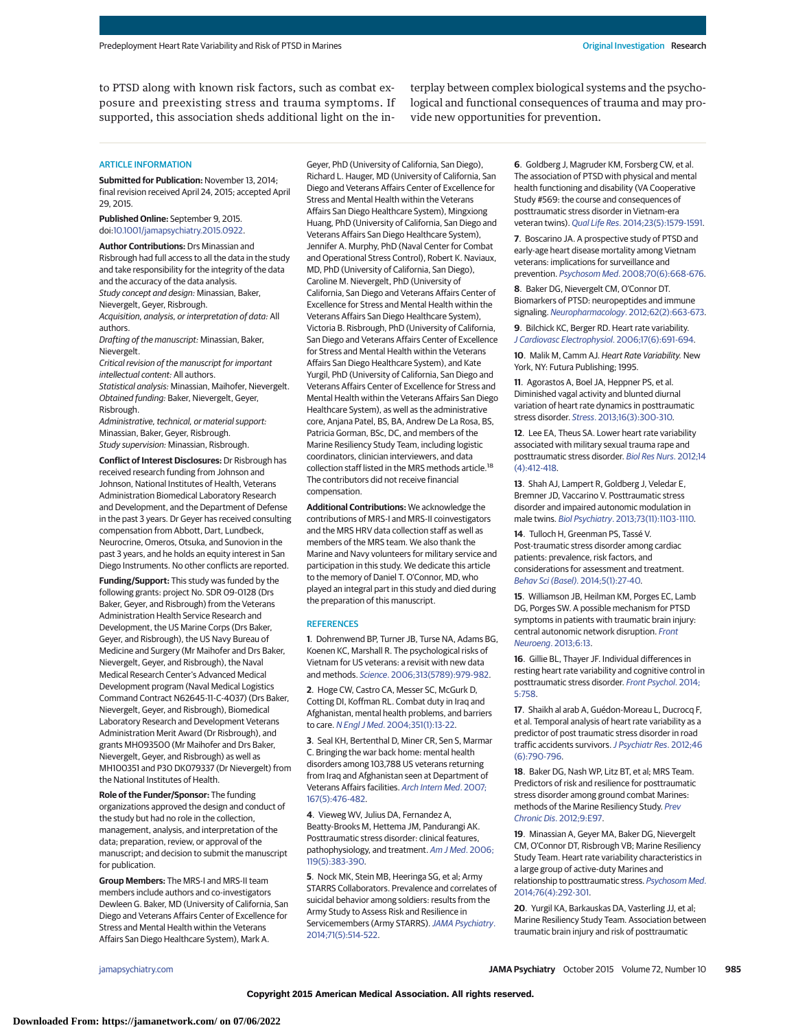to PTSD along with known risk factors, such as combat exposure and preexisting stress and trauma symptoms. If supported, this association sheds additional light on the interplay between complex biological systems and the psychological and functional consequences of trauma and may provide new opportunities for prevention.

### ARTICLE INFORMATION

**Submitted for Publication:** November 13, 2014; final revision received April 24, 2015; accepted April 29, 2015.

**Published Online:** September 9, 2015. doi[:10.1001/jamapsychiatry.2015.0922.](http://jama.jamanetwork.com/article.aspx?doi=10.1001/jamapsychiatry.2015.0922&utm_campaign=articlePDF%26utm_medium=articlePDFlink%26utm_source=articlePDF%26utm_content=jamapsychiatry.2015.0922)

**Author Contributions:** Drs Minassian and Risbrough had full access to all the data in the study and take responsibility for the integrity of the data and the accuracy of the data analysis. Study concept and design: Minassian, Baker, Nievergelt, Geyer, Risbrough.

Acquisition, analysis, or interpretation of data: All authors.

Drafting of the manuscript: Minassian, Baker, Nievergelt.

Critical revision of the manuscript for important intellectual content: All authors.

Statistical analysis: Minassian, Maihofer, Nievergelt. Obtained funding: Baker, Nievergelt, Geyer, Risbrough.

Administrative, technical, or material support: Minassian, Baker, Geyer, Risbrough. Study supervision: Minassian, Risbrough.

**Conflict of Interest Disclosures:** Dr Risbrough has received research funding from Johnson and Johnson, National Institutes of Health, Veterans Administration Biomedical Laboratory Research and Development, and the Department of Defense in the past 3 years. Dr Geyer has received consulting compensation from Abbott, Dart, Lundbeck, Neurocrine, Omeros, Otsuka, and Sunovion in the past 3 years, and he holds an equity interest in San Diego Instruments. No other conflicts are reported.

**Funding/Support:** This study was funded by the following grants: project No. SDR 09-0128 (Drs Baker, Geyer, and Risbrough) from the Veterans Administration Health Service Research and Development, the US Marine Corps (Drs Baker, Geyer, and Risbrough), the US Navy Bureau of Medicine and Surgery (Mr Maihofer and Drs Baker, Nievergelt, Geyer, and Risbrough), the Naval Medical Research Center's Advanced Medical Development program (Naval Medical Logistics Command Contract N62645-11-C-4037) (Drs Baker, Nievergelt, Geyer, and Risbrough), Biomedical Laboratory Research and Development Veterans Administration Merit Award (Dr Risbrough), and grants MH093500 (Mr Maihofer and Drs Baker, Nievergelt, Geyer, and Risbrough) as well as MH100351 and P30 DK079337 (Dr Nievergelt) from the National Institutes of Health.

**Role of the Funder/Sponsor:** The funding organizations approved the design and conduct of the study but had no role in the collection, management, analysis, and interpretation of the data; preparation, review, or approval of the manuscript; and decision to submit the manuscript for publication.

**Group Members:** The MRS-I and MRS-II team members include authors and co-investigators Dewleen G. Baker, MD (University of California, San Diego and Veterans Affairs Center of Excellence for Stress and Mental Health within the Veterans Affairs San Diego Healthcare System), Mark A.

Geyer, PhD (University of California, San Diego), Richard L. Hauger, MD (University of California, San Diego and Veterans Affairs Center of Excellence for Stress and Mental Health within the Veterans Affairs San Diego Healthcare System), Mingxiong Huang, PhD (University of California, San Diego and Veterans Affairs San Diego Healthcare System), Jennifer A. Murphy, PhD (Naval Center for Combat and Operational Stress Control), Robert K. Naviaux, MD, PhD (University of California, San Diego), Caroline M. Nievergelt, PhD (University of California, San Diego and Veterans Affairs Center of Excellence for Stress and Mental Health within the Veterans Affairs San Diego Healthcare System), Victoria B. Risbrough, PhD (University of California, San Diego and Veterans Affairs Center of Excellence for Stress and Mental Health within the Veterans Affairs San Diego Healthcare System), and Kate Yurgil, PhD (University of California, San Diego and Veterans Affairs Center of Excellence for Stress and Mental Health within the Veterans Affairs San Diego Healthcare System), as well as the administrative core, Anjana Patel, BS, BA, Andrew De La Rosa, BS, Patricia Gorman, BSc, DC, and members of the Marine Resiliency Study Team, including logistic coordinators, clinician interviewers, and data collection staff listed in the MRS methods article.<sup>18</sup> The contributors did not receive financial compensation.

**Additional Contributions:** We acknowledge the contributions of MRS-I and MRS-II coinvestigators and the MRS HRV data collection staff as well as members of the MRS team. We also thank the Marine and Navy volunteers for military service and participation in this study. We dedicate this article to the memory of Daniel T. O'Connor, MD, who played an integral part in this study and died during the preparation of this manuscript.

#### **REFERENCES**

**1**. Dohrenwend BP, Turner JB, Turse NA, Adams BG, Koenen KC, Marshall R. The psychological risks of Vietnam for US veterans: a revisit with new data and methods. Science[. 2006;313\(5789\):979-982.](http://www.ncbi.nlm.nih.gov/pubmed/16917066)

**2**. Hoge CW, Castro CA, Messer SC, McGurk D, Cotting DI, Koffman RL. Combat duty in Iraq and Afghanistan, mental health problems, and barriers to care. N Engl J Med[. 2004;351\(1\):13-22.](http://www.ncbi.nlm.nih.gov/pubmed/15229303)

**3**. Seal KH, Bertenthal D, Miner CR, Sen S, Marmar C. Bringing the war back home: mental health disorders among 103,788 US veterans returning from Iraq and Afghanistan seen at Department of Veterans Affairs facilities. [Arch Intern Med](http://www.ncbi.nlm.nih.gov/pubmed/17353495). 2007; [167\(5\):476-482.](http://www.ncbi.nlm.nih.gov/pubmed/17353495)

**4**. Vieweg WV, Julius DA, Fernandez A, Beatty-Brooks M, Hettema JM, Pandurangi AK. Posttraumatic stress disorder: clinical features, pathophysiology, and treatment. [Am J Med](http://www.ncbi.nlm.nih.gov/pubmed/16651048). 2006; [119\(5\):383-390.](http://www.ncbi.nlm.nih.gov/pubmed/16651048)

**5**. Nock MK, Stein MB, Heeringa SG, et al; Army STARRS Collaborators. Prevalence and correlates of suicidal behavior among soldiers: results from the Army Study to Assess Risk and Resilience in Servicemembers (Army STARRS). [JAMA Psychiatry](http://www.ncbi.nlm.nih.gov/pubmed/24590178). [2014;71\(5\):514-522.](http://www.ncbi.nlm.nih.gov/pubmed/24590178)

**6**. Goldberg J, Magruder KM, Forsberg CW, et al. The association of PTSD with physical and mental health functioning and disability (VA Cooperative Study #569: the course and consequences of posttraumatic stress disorder in Vietnam-era veteran twins). Qual Life Res[. 2014;23\(5\):1579-1591.](http://www.ncbi.nlm.nih.gov/pubmed/24318083)

**7**. Boscarino JA. A prospective study of PTSD and early-age heart disease mortality among Vietnam veterans: implications for surveillance and prevention. Psychosom Med[. 2008;70\(6\):668-676.](http://www.ncbi.nlm.nih.gov/pubmed/18596248)

**8**. Baker DG, Nievergelt CM, O'Connor DT. Biomarkers of PTSD: neuropeptides and immune signaling. Neuropharmacology[. 2012;62\(2\):663-673.](http://www.ncbi.nlm.nih.gov/pubmed/21392516)

**9**. Bilchick KC, Berger RD. Heart rate variability. [J Cardiovasc Electrophysiol](http://www.ncbi.nlm.nih.gov/pubmed/16836727). 2006;17(6):691-694.

**10**. Malik M, Camm AJ. Heart Rate Variability. New York, NY: Futura Publishing; 1995.

**11**. Agorastos A, Boel JA, Heppner PS, et al. Diminished vagal activity and blunted diurnal variation of heart rate dynamics in posttraumatic stress disorder. Stress[. 2013;16\(3\):300-310.](http://www.ncbi.nlm.nih.gov/pubmed/23167763)

**12**. Lee EA, Theus SA. Lower heart rate variability associated with military sexual trauma rape and posttraumatic stress disorder. [Biol Res Nurs](http://www.ncbi.nlm.nih.gov/pubmed/22899708). 2012;14 [\(4\):412-418.](http://www.ncbi.nlm.nih.gov/pubmed/22899708)

**13**. Shah AJ, Lampert R, Goldberg J, Veledar E, Bremner JD, Vaccarino V. Posttraumatic stress disorder and impaired autonomic modulation in male twins. Biol Psychiatry[. 2013;73\(11\):1103-1110.](http://www.ncbi.nlm.nih.gov/pubmed/23434412)

**14**. Tulloch H, Greenman PS, Tassé V. Post-traumatic stress disorder among cardiac patients: prevalence, risk factors, and considerations for assessment and treatment. Behav Sci (Basel)[. 2014;5\(1\):27-40.](http://www.ncbi.nlm.nih.gov/pubmed/25545708)

**15**. Williamson JB, Heilman KM, Porges EC, Lamb DG, Porges SW. A possible mechanism for PTSD symptoms in patients with traumatic brain injury: central autonomic network disruption. [Front](http://www.ncbi.nlm.nih.gov/pubmed/24391583) Neuroeng[. 2013;6:13.](http://www.ncbi.nlm.nih.gov/pubmed/24391583)

**16**. Gillie BL, Thayer JF. Individual differences in resting heart rate variability and cognitive control in posttraumatic stress disorder. [Front Psychol](http://www.ncbi.nlm.nih.gov/pubmed/25076929). 2014; [5:758.](http://www.ncbi.nlm.nih.gov/pubmed/25076929)

**17**. Shaikh al arab A, Guédon-Moreau L, Ducrocq F, et al. Temporal analysis of heart rate variability as a predictor of post traumatic stress disorder in road traffic accidents survivors. [J Psychiatr Res](http://www.ncbi.nlm.nih.gov/pubmed/22425487). 2012;46 [\(6\):790-796.](http://www.ncbi.nlm.nih.gov/pubmed/22425487)

**18**. Baker DG, Nash WP, Litz BT, et al; MRS Team. Predictors of risk and resilience for posttraumatic stress disorder among ground combat Marines: methods of the Marine Resiliency Study. [Prev](http://www.ncbi.nlm.nih.gov/pubmed/22575082) Chronic Dis[. 2012;9:E97.](http://www.ncbi.nlm.nih.gov/pubmed/22575082)

**19**. Minassian A, Geyer MA, Baker DG, Nievergelt CM, O'Connor DT, Risbrough VB; Marine Resiliency Study Team. Heart rate variability characteristics in a large group of active-duty Marines and relationship to posttraumatic stress. [Psychosom Med](http://www.ncbi.nlm.nih.gov/pubmed/24804881). [2014;76\(4\):292-301.](http://www.ncbi.nlm.nih.gov/pubmed/24804881)

**20**. Yurgil KA, Barkauskas DA, Vasterling JJ, et al; Marine Resiliency Study Team. Association between traumatic brain injury and risk of posttraumatic